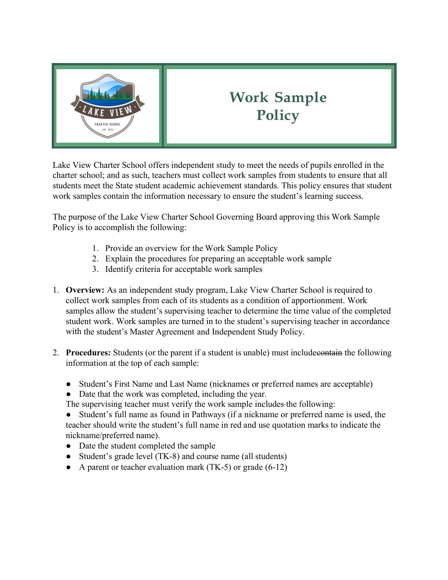

## **Work Sample Policy**

Lake View Charter School offers independent study to meet the needs of pupils enrolled in the charter school; and as such, teachers must collect work samples from students to ensure that all students meet the State student academic achievement standards. This policy ensures that student work samples contain the information necessary to ensure the student's learning success.

The purpose of the Lake View Charter School Governing Board approving this Work Sample Policy is to accomplish the following:

- 1. Provide an overview for the Work Sample Policy
- 2. Explain the procedures for preparing an acceptable work sample
- 3. Identify criteria for acceptable work samples
- 1. **Overview:** As an independent study program, Lake View Charter School is required to collect work samples from each of its students as a condition of apportionment. Work samples allow the student's supervising teacher to determine the time value of the completed student work. Work samples are turned in to the student's supervising teacher in accordance with the student's Master Agreement and Independent Study Policy.
- 2. **Procedures:** Students (or the parent if a student is unable) must include contain the following information at the top of each sample:
	- Student's First Name and Last Name (nicknames or preferred names are acceptable)
	- Date that the work was completed, including the year.

The supervising teacher must verify the work sample includes the following:

● Student's full name as found in Pathways (if a nickname or preferred name is used, the teacher should write the student's full name in red and use quotation marks to indicate the nickname/preferred name).

- Date the student completed the sample
- Student's grade level (TK-8) and course name (all students)
- A parent or teacher evaluation mark  $(TK-5)$  or grade  $(6-12)$